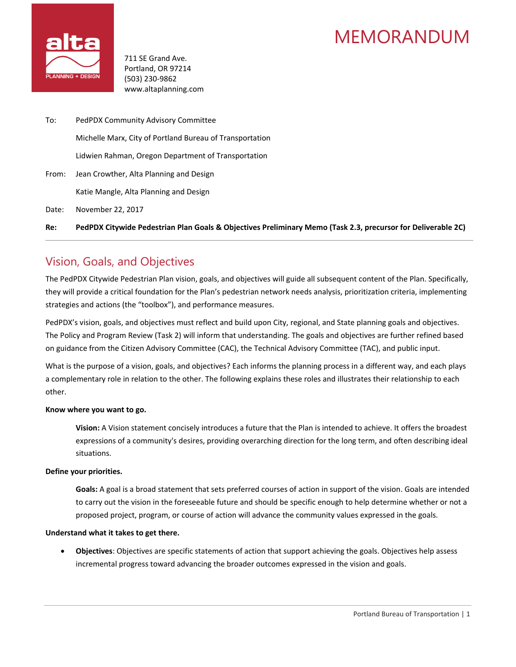# MEMORANDUM



711 SE Grand Ave. Portland, OR 97214 (503) 230-9862 www.altaplanning.com

To: PedPDX Community Advisory Committee Michelle Marx, City of Portland Bureau of Transportation Lidwien Rahman, Oregon Department of Transportation From: Jean Crowther, Alta Planning and Design Katie Mangle, Alta Planning and Design Date: November 22, 2017

**Re: PedPDX Citywide Pedestrian Plan Goals & Objectives Preliminary Memo (Task 2.3, precursor for Deliverable 2C)**

# Vision, Goals, and Objectives

The PedPDX Citywide Pedestrian Plan vision, goals, and objectives will guide all subsequent content of the Plan. Specifically, they will provide a critical foundation for the Plan's pedestrian network needs analysis, prioritization criteria, implementing strategies and actions (the "toolbox"), and performance measures.

PedPDX's vision, goals, and objectives must reflect and build upon City, regional, and State planning goals and objectives. The Policy and Program Review (Task 2) will inform that understanding. The goals and objectives are further refined based on guidance from the Citizen Advisory Committee (CAC), the Technical Advisory Committee (TAC), and public input.

What is the purpose of a vision, goals, and objectives? Each informs the planning process in a different way, and each plays a complementary role in relation to the other. The following explains these roles and illustrates their relationship to each other.

### **Know where you want to go.**

**Vision:** A Vision statement concisely introduces a future that the Plan is intended to achieve. It offers the broadest expressions of a community's desires, providing overarching direction for the long term, and often describing ideal situations.

### **Define your priorities.**

**Goals:** A goal is a broad statement that sets preferred courses of action in support of the vision. Goals are intended to carry out the vision in the foreseeable future and should be specific enough to help determine whether or not a proposed project, program, or course of action will advance the community values expressed in the goals.

### **Understand what it takes to get there.**

• **Objectives**: Objectives are specific statements of action that support achieving the goals. Objectives help assess incremental progress toward advancing the broader outcomes expressed in the vision and goals.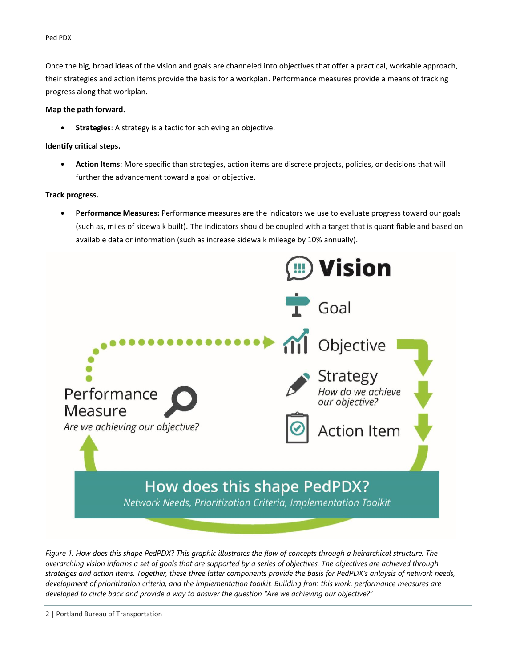#### Ped PDX

Once the big, broad ideas of the vision and goals are channeled into objectives that offer a practical, workable approach, their strategies and action items provide the basis for a workplan. Performance measures provide a means of tracking progress along that workplan.

#### **Map the path forward.**

• **Strategies**: A strategy is a tactic for achieving an objective.

### **Identify critical steps.**

• **Action Items**: More specific than strategies, action items are discrete projects, policies, or decisions that will further the advancement toward a goal or objective.

### **Track progress.**

• **Performance Measures:** Performance measures are the indicators we use to evaluate progress toward our goals (such as, miles of sidewalk built). The indicators should be coupled with a target that is quantifiable and based on available data or information (such as increase sidewalk mileage by 10% annually).



Figure 1. How does this shape PedPDX? This graphic illustrates the flow of concepts through a heirarchical structure. The overarching vision informs a set of goals that are supported by a series of objectives. The objectives are achieved through strateiges and action items. Together, these three latter components provide the basis for PedPDX's anlaysis of network needs, development of prioritization criteria, and the implementation toolkit. Building from this work, performance measures are developed to circle back and provide a way to answer the question "Are we achieving our objective?"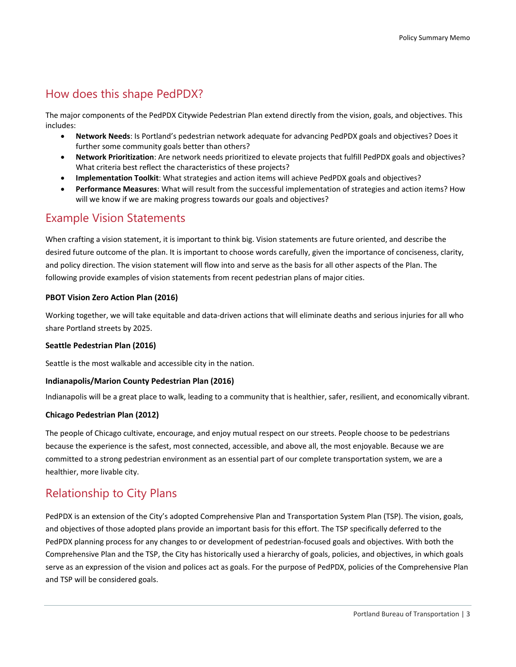# How does this shape PedPDX?

The major components of the PedPDX Citywide Pedestrian Plan extend directly from the vision, goals, and objectives. This includes:

- **Network Needs**: Is Portland's pedestrian network adequate for advancing PedPDX goals and objectives? Does it further some community goals better than others?
- **Network Prioritization**: Are network needs prioritized to elevate projects that fulfill PedPDX goals and objectives? What criteria best reflect the characteristics of these projects?
- **Implementation Toolkit**: What strategies and action items will achieve PedPDX goals and objectives?
- **Performance Measures**: What will result from the successful implementation of strategies and action items? How will we know if we are making progress towards our goals and objectives?

### Example Vision Statements

When crafting a vision statement, it is important to think big. Vision statements are future oriented, and describe the desired future outcome of the plan. It is important to choose words carefully, given the importance of conciseness, clarity, and policy direction. The vision statement will flow into and serve as the basis for all other aspects of the Plan. The following provide examples of vision statements from recent pedestrian plans of major cities.

### **PBOT Vision Zero Action Plan (2016)**

Working together, we will take equitable and data-driven actions that will eliminate deaths and serious injuries for all who share Portland streets by 2025.

### **Seattle Pedestrian Plan (2016)**

Seattle is the most walkable and accessible city in the nation.

### **Indianapolis/Marion County Pedestrian Plan (2016)**

Indianapolis will be a great place to walk, leading to a community that is healthier, safer, resilient, and economically vibrant.

### **Chicago Pedestrian Plan (2012)**

The people of Chicago cultivate, encourage, and enjoy mutual respect on our streets. People choose to be pedestrians because the experience is the safest, most connected, accessible, and above all, the most enjoyable. Because we are committed to a strong pedestrian environment as an essential part of our complete transportation system, we are a healthier, more livable city.

## Relationship to City Plans

PedPDX is an extension of the City's adopted Comprehensive Plan and Transportation System Plan (TSP). The vision, goals, and objectives of those adopted plans provide an important basis for this effort. The TSP specifically deferred to the PedPDX planning process for any changes to or development of pedestrian-focused goals and objectives. With both the Comprehensive Plan and the TSP, the City has historically used a hierarchy of goals, policies, and objectives, in which goals serve as an expression of the vision and polices act as goals. For the purpose of PedPDX, policies of the Comprehensive Plan and TSP will be considered goals.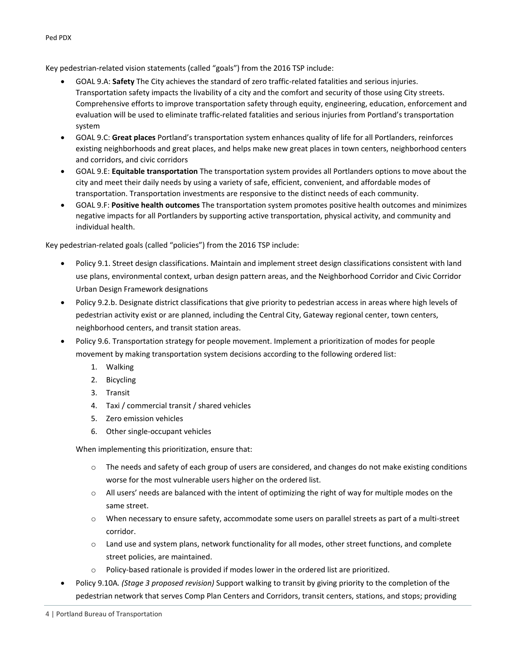Key pedestrian-related vision statements (called "goals") from the 2016 TSP include:

- GOAL 9.A: **Safety** The City achieves the standard of zero traffic‐related fatalities and serious injuries. Transportation safety impacts the livability of a city and the comfort and security of those using City streets. Comprehensive efforts to improve transportation safety through equity, engineering, education, enforcement and evaluation will be used to eliminate traffic‐related fatalities and serious injuries from Portland's transportation system
- GOAL 9.C: **Great places** Portland's transportation system enhances quality of life for all Portlanders, reinforces existing neighborhoods and great places, and helps make new great places in town centers, neighborhood centers and corridors, and civic corridors
- GOAL 9.E: **Equitable transportation** The transportation system provides all Portlanders options to move about the city and meet their daily needs by using a variety of safe, efficient, convenient, and affordable modes of transportation. Transportation investments are responsive to the distinct needs of each community.
- GOAL 9.F: **Positive health outcomes** The transportation system promotes positive health outcomes and minimizes negative impacts for all Portlanders by supporting active transportation, physical activity, and community and individual health.

Key pedestrian-related goals (called "policies") from the 2016 TSP include:

- Policy 9.1. Street design classifications. Maintain and implement street design classifications consistent with land use plans, environmental context, urban design pattern areas, and the Neighborhood Corridor and Civic Corridor Urban Design Framework designations
- Policy 9.2.b. Designate district classifications that give priority to pedestrian access in areas where high levels of pedestrian activity exist or are planned, including the Central City, Gateway regional center, town centers, neighborhood centers, and transit station areas.
- Policy 9.6. Transportation strategy for people movement. Implement a prioritization of modes for people movement by making transportation system decisions according to the following ordered list:
	- 1. Walking
	- 2. Bicycling
	- 3. Transit
	- 4. Taxi / commercial transit / shared vehicles
	- 5. Zero emission vehicles
	- 6. Other single‐occupant vehicles

When implementing this prioritization, ensure that:

- o The needs and safety of each group of users are considered, and changes do not make existing conditions worse for the most vulnerable users higher on the ordered list.
- $\circ$  All users' needs are balanced with the intent of optimizing the right of way for multiple modes on the same street.
- o When necessary to ensure safety, accommodate some users on parallel streets as part of a multi‐street corridor.
- $\circ$  Land use and system plans, network functionality for all modes, other street functions, and complete street policies, are maintained.
- o Policy‐based rationale is provided if modes lower in the ordered list are prioritized.
- Policy 9.10A*. (Stage 3 proposed revision)* Support walking to transit by giving priority to the completion of the pedestrian network that serves Comp Plan Centers and Corridors, transit centers, stations, and stops; providing